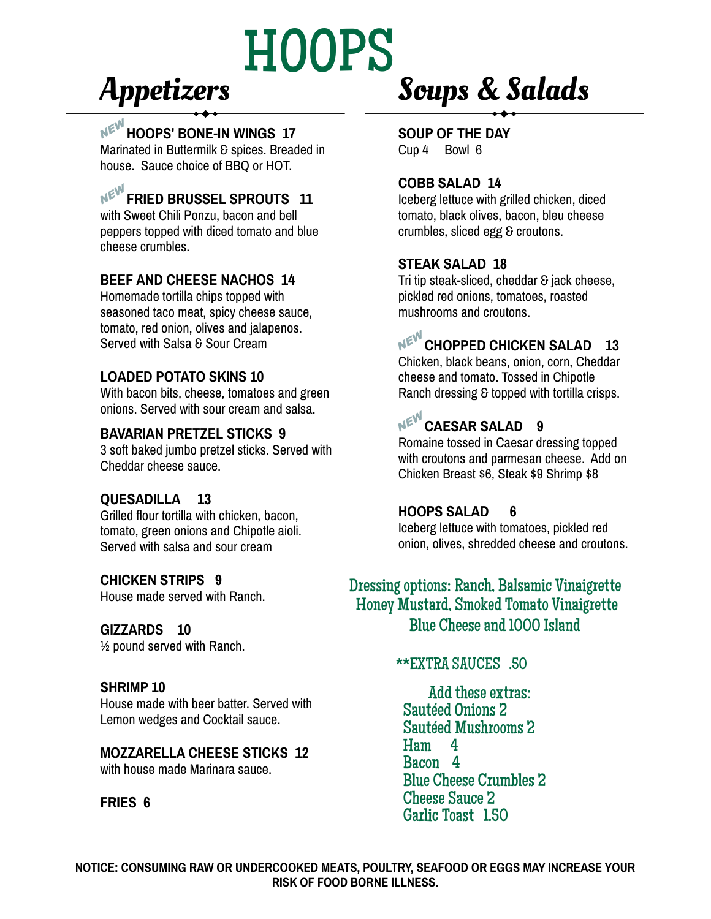# HOOPS

## Appetizers

#### A**HOOPS' BONE-IN WINGS 17**

Marinated in Buttermilk & spices. Breaded in house. Sauce choice of BBQ or HOT.

### **NE<sup>V</sup><sup>EV</sup>** FRIED BRUSSEL SPROUTS 11

with Sweet Chili Ponzu, bacon and bell peppers topped with diced tomato and blue cheese crumbles.

#### **BEEF AND CHEESE NACHOS 14**

Homemade tortilla chips topped with seasoned taco meat, spicy cheese sauce, tomato, red onion, olives and jalapenos. Served with Salsa & Sour Cream

#### **LOADED POTATO SKINS 10**

With bacon bits, cheese, tomatoes and green onions. Served with sour cream and salsa.

#### **BAVARIAN PRETZEL STICKS 9**

3 soft baked jumbo pretzel sticks. Served with Cheddar cheese sauce.

#### **QUESADILLA 13**

Grilled flour tortilla with chicken, bacon, tomato, green onions and Chipotle aioli. Served with salsa and sour cream

#### **CHICKEN STRIPS 9**

House made served with Ranch.

#### **GIZZARDS 10**

½ pound served with Ranch.

#### **SHRIMP 10**

House made with beer batter. Served with Lemon wedges and Cocktail sauce.

#### **MOZZARELLA CHEESE STICKS 12** with house made Marinara sauce.

#### **FRIES 6**

## Soups & Salads

**SOUP OF THE DAY** Cup 4 Bowl 6

#### **COBB SALAD 14**

Iceberg lettuce with grilled chicken, diced tomato, black olives, bacon, bleu cheese crumbles, sliced egg & croutons.

#### **STEAK SALAD 18**

Tri tip steak-sliced, cheddar & jack cheese, pickled red onions, tomatoes, roasted mushrooms and croutons.

## **NEW CHOPPED CHICKEN SALAD** 13

Chicken, black beans, onion, corn, Cheddar cheese and tomato. Tossed in Chipotle Ranch dressing & topped with tortilla crisps.

## **NEW CAESAR SALAD 9**

Romaine tossed in Caesar dressing topped with croutons and parmesan cheese. Add on Chicken Breast \$6, Steak \$9 Shrimp \$8

#### **HOOPS SALAD 6**

Iceberg lettuce with tomatoes, pickled red onion, olives, shredded cheese and croutons.

#### Dressing options: Ranch, Balsamic Vinaigrette Blue Cheese and 1000 Island Honey Mustard, Smoked Tomato Vinaigrette

#### \*\*EXTRA SAUCES .50

 Add these extras: Sautéed Onions 2 Sautéed Mushrooms 2 Ham 4 Bacon 4 Blue Cheese Crumbles 2 Cheese Sauce 2 Garlic Toast 1.50